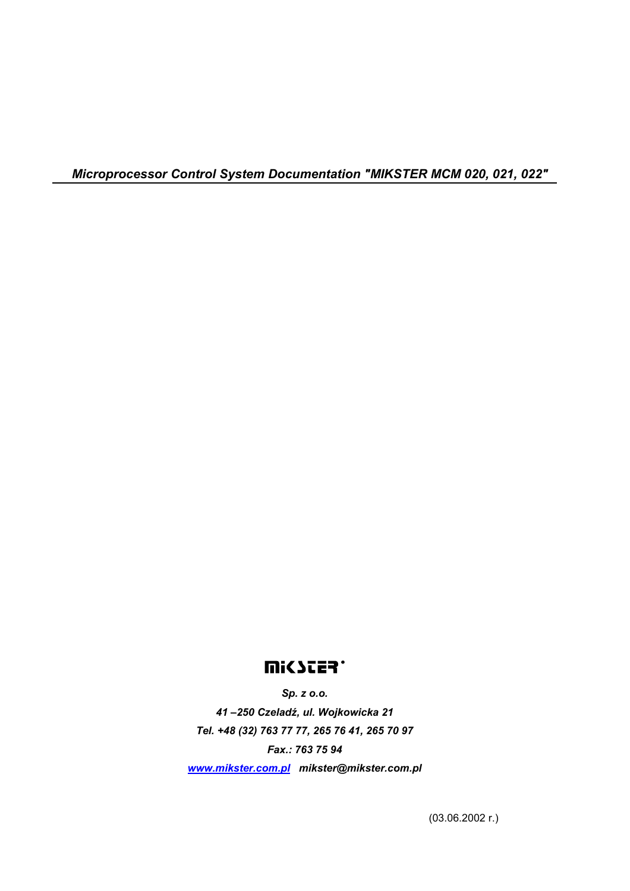*Microprocessor Control System Documentation "MIKSTER MCM 020, 021, 022"* 

# **UUICYCES.**

*Sp. z o.o. 41 –250 Czeladź, ul. Wojkowicka 21 Tel. +48 (32) 763 77 77, 265 76 41, 265 70 97 Fax.: 763 75 94 www.mikster.com.pl mikster@mikster.com.pl* 

(03.06.2002 r.)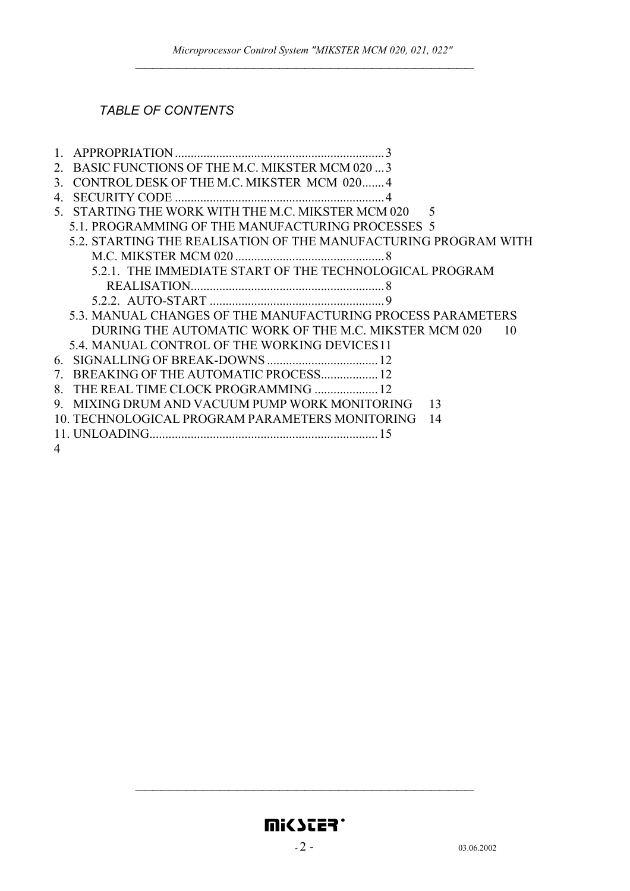#### *TABLE OF CONTENTS*

|   | BASIC FUNCTIONS OF THE M.C. MIKSTER MCM 020  3                  |    |
|---|-----------------------------------------------------------------|----|
| 3 | CONTROL DESK OF THE M.C. MIKSTER MCM 020 4                      |    |
| 4 |                                                                 |    |
|   | 5. STARTING THE WORK WITH THE M.C. MIKSTER MCM 020 5            |    |
|   | 5.1. PROGRAMMING OF THE MANUFACTURING PROCESSES 5               |    |
|   | 5.2. STARTING THE REALISATION OF THE MANUFACTURING PROGRAM WITH |    |
|   |                                                                 |    |
|   | 5.2.1. THE IMMEDIATE START OF THE TECHNOLOGICAL PROGRAM         |    |
|   |                                                                 |    |
|   |                                                                 |    |
|   | 5.3. MANUAL CHANGES OF THE MANUFACTURING PROCESS PARAMETERS     |    |
|   | DURING THE AUTOMATIC WORK OF THE M.C. MIKSTER MCM 020           | 10 |
|   | 5.4. MANUAL CONTROL OF THE WORKING DEVICES 11                   |    |
|   |                                                                 |    |
|   | 7. BREAKING OF THE AUTOMATIC PROCESS 12                         |    |
| 8 | THE REAL TIME CLOCK PROGRAMMING  12                             |    |
|   | 9. MIXING DRUM AND VACUUM PUMP WORK MONITORING                  | 13 |
|   | 10. TECHNOLOGICAL PROGRAM PARAMETERS MONITORING                 | 14 |
|   |                                                                 |    |
| 4 |                                                                 |    |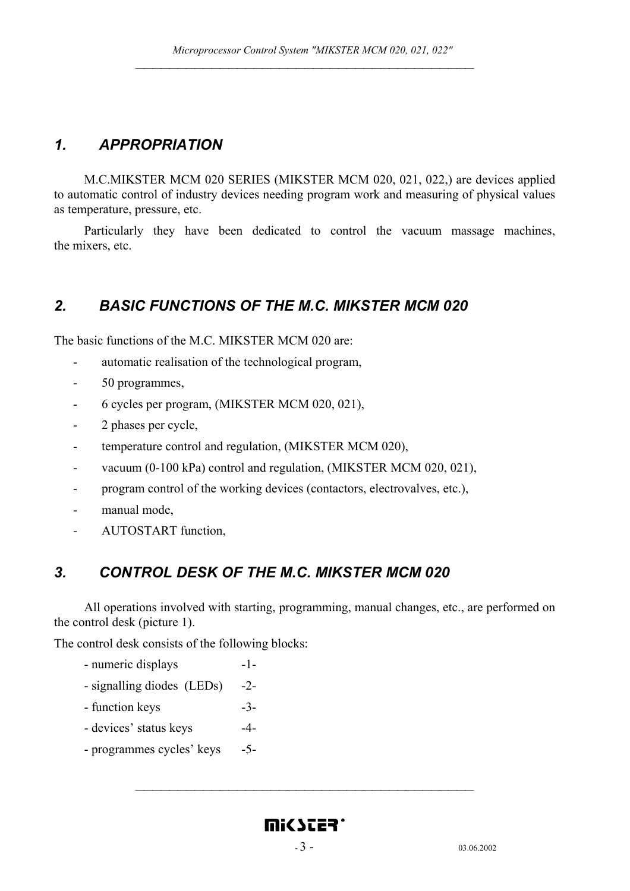# *1. APPROPRIATION*

M.C.MIKSTER MCM 020 SERIES (MIKSTER MCM 020, 021, 022,) are devices applied to automatic control of industry devices needing program work and measuring of physical values as temperature, pressure, etc.

Particularly they have been dedicated to control the vacuum massage machines, the mixers, etc.

## *2. BASIC FUNCTIONS OF THE M.C. MIKSTER MCM 020*

The basic functions of the M.C. MIKSTER MCM 020 are:

- automatic realisation of the technological program,
- 50 programmes,
- 6 cycles per program, (MIKSTER MCM 020, 021),
- 2 phases per cycle,
- temperature control and regulation, (MIKSTER MCM 020),
- vacuum (0-100 kPa) control and regulation, (MIKSTER MCM 020, 021),
- program control of the working devices (contactors, electrovalves, etc.),
- manual mode,
- AUTOSTART function,

## *3. CONTROL DESK OF THE M.C. MIKSTER MCM 020*

All operations involved with starting, programming, manual changes, etc., are performed on the control desk (picture 1).

The control desk consists of the following blocks:

- numeric displays -1-
- signalling diodes (LEDs) -2-
- function keys  $-3$ -
- devices' status keys  $-4$ -
- programmes cycles' keys -5-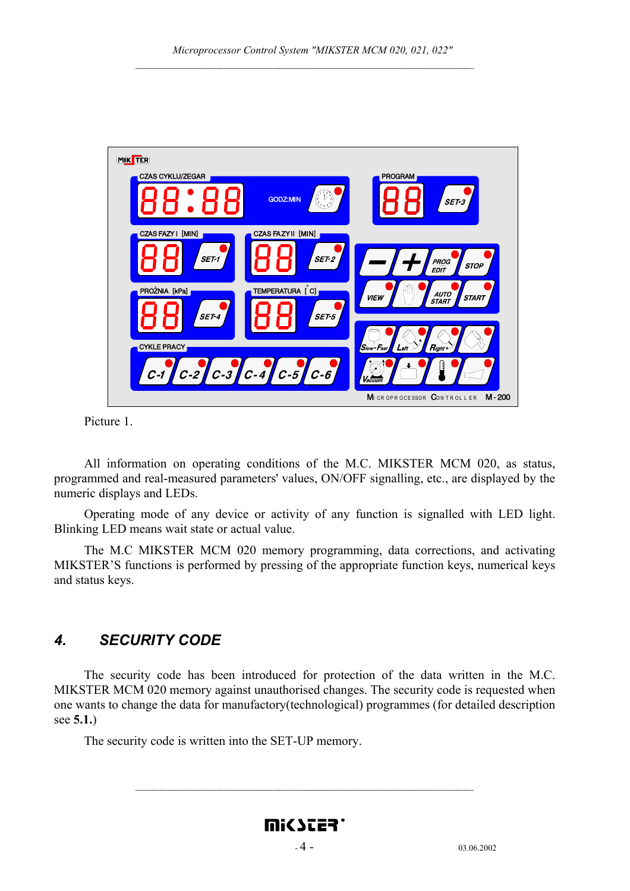

Picture 1.

 All information on operating conditions of the M.C. MIKSTER MCM 020, as status, programmed and real-measured parameters' values, ON/OFF signalling, etc., are displayed by the numeric displays and LEDs.

Operating mode of any device or activity of any function is signalled with LED light. Blinking LED means wait state or actual value.

The M.C MIKSTER MCM 020 memory programming, data corrections, and activating MIKSTER'S functions is performed by pressing of the appropriate function keys, numerical keys and status keys.

## *4. SECURITY CODE*

The security code has been introduced for protection of the data written in the M.C. MIKSTER MCM 020 memory against unauthorised changes. The security code is requested when one wants to change the data for manufactory(technological) programmes (for detailed description see **5.1.**)

The security code is written into the SET-UP memory.

# <u>WICZES.</u>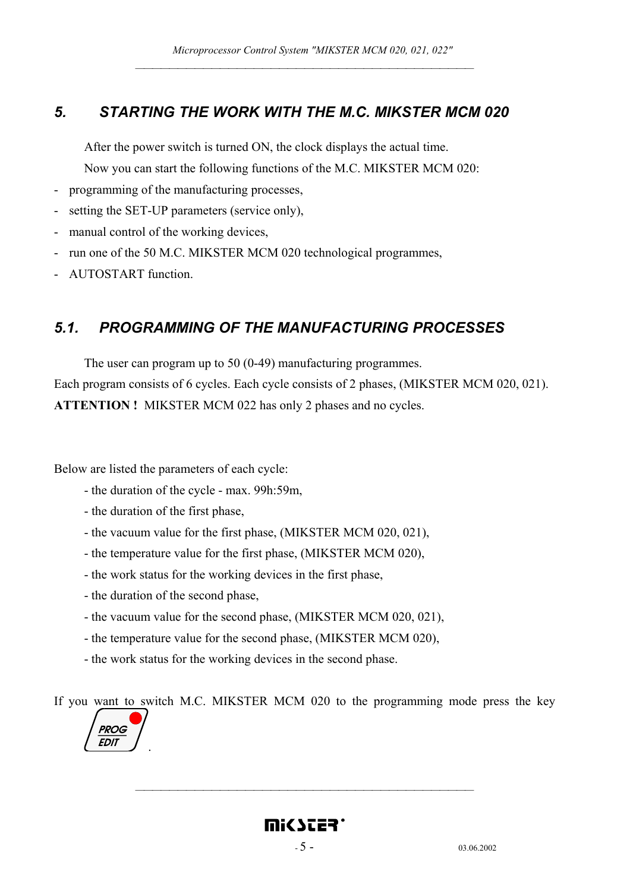#### *5. STARTING THE WORK WITH THE M.C. MIKSTER MCM 020*

After the power switch is turned ON, the clock displays the actual time. Now you can start the following functions of the M.C. MIKSTER MCM 020:

- programming of the manufacturing processes,
- setting the SET-UP parameters (service only),
- manual control of the working devices,
- run one of the 50 M.C. MIKSTER MCM 020 technological programmes,
- AUTOSTART function.

### *5.1. PROGRAMMING OF THE MANUFACTURING PROCESSES*

The user can program up to 50 (0-49) manufacturing programmes. Each program consists of 6 cycles. Each cycle consists of 2 phases, (MIKSTER MCM 020, 021). **ATTENTION !** MIKSTER MCM 022 has only 2 phases and no cycles.

Below are listed the parameters of each cycle:

- the duration of the cycle max. 99h:59m,
- the duration of the first phase,
- the vacuum value for the first phase, (MIKSTER MCM 020, 021),
- the temperature value for the first phase, (MIKSTER MCM 020),
- the work status for the working devices in the first phase,
- the duration of the second phase,
- the vacuum value for the second phase, (MIKSTER MCM 020, 021),
- the temperature value for the second phase, (MIKSTER MCM 020),
- the work status for the working devices in the second phase.

If you want to switch M.C. MIKSTER MCM 020 to the programming mode press the key

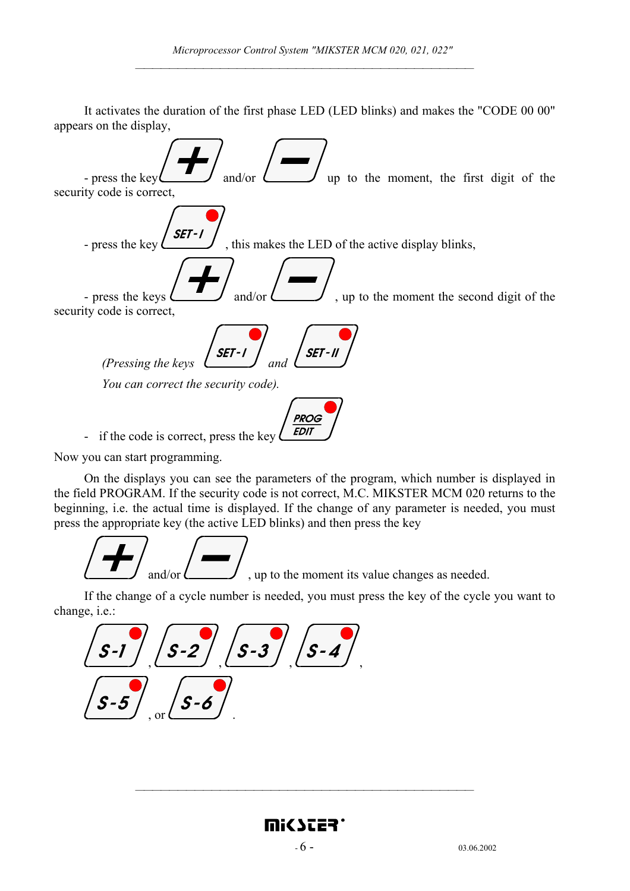It activates the duration of the first phase LED (LED blinks) and makes the "CODE 00 00" appears on the display,



Now you can start programming.

On the displays you can see the parameters of the program, which number is displayed in the field PROGRAM. If the security code is not correct, M.C. MIKSTER MCM 020 returns to the beginning, i.e. the actual time is displayed. If the change of any parameter is needed, you must press the appropriate key (the active LED blinks) and then press the key

$$
\boxed{}
$$
 and/or  $\boxed{}$ , up to the moment its value changes as needed.

If the change of a cycle number is needed, you must press the key of the cycle you want to change, i.e.:

$$
\frac{\sqrt{S-1}}{\sqrt{S-5}} = \frac{\sqrt{S-2}}{\sqrt{S-6}} = \frac{\sqrt{S-3}}{\sqrt{S-1}}
$$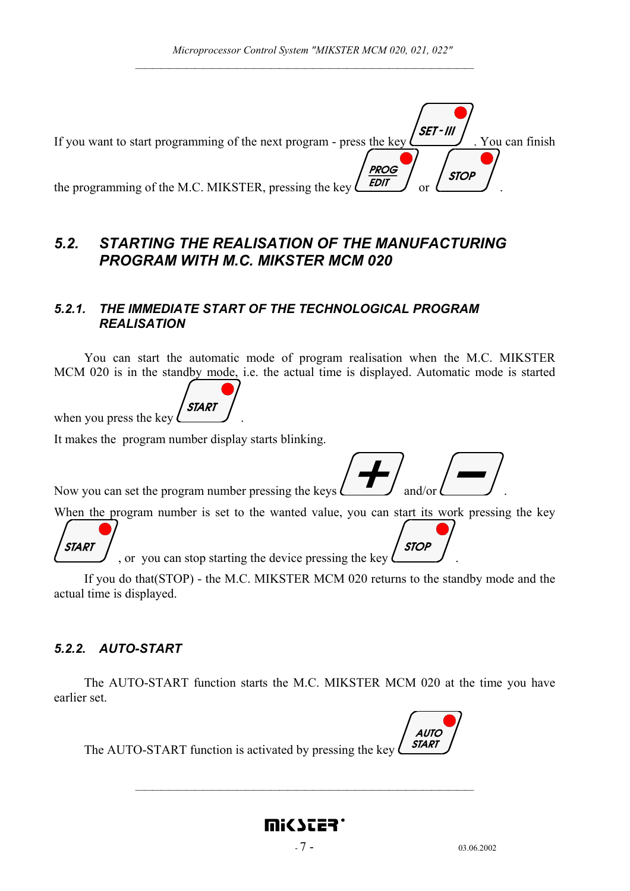| If you want to start programming of the next program - press the key $\ell$       | SET - III<br>. You can finish |
|-----------------------------------------------------------------------------------|-------------------------------|
| <b>PROG</b>                                                                       |                               |
| <b>EDIT</b><br>the programming of the M.C. MIKSTER, pressing the key $\mathcal L$ | <b>STOP</b>                   |

## *5.2. STARTING THE REALISATION OF THE MANUFACTURING PROGRAM WITH M.C. MIKSTER MCM 020*

#### *5.2.1. THE IMMEDIATE START OF THE TECHNOLOGICAL PROGRAM REALISATION*

You can start the automatic mode of program realisation when the M.C. MIKSTER MCM 020 is in the standby mode, i.e. the actual time is displayed. Automatic mode is started

![](_page_6_Picture_5.jpeg)

It makes the program number display starts blinking.

Now you can set the program number pressing the keys  $\Box$  and/or

When the program number is set to the wanted value, you can start its work pressing the key

![](_page_6_Picture_9.jpeg)

**STOP** , or you can stop starting the device pressing the key  $\ell$ 

If you do that(STOP) - the M.C. MIKSTER MCM 020 returns to the standby mode and the actual time is displayed.

#### *5.2.2. AUTO-START*

The AUTO-START function starts the M.C. MIKSTER MCM 020 at the time you have earlier set.

![](_page_6_Picture_14.jpeg)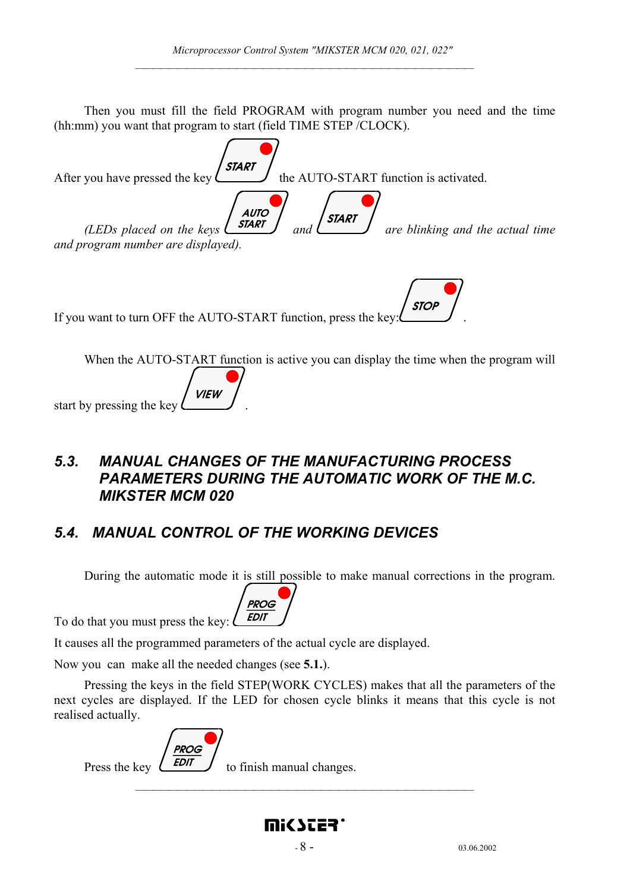Then you must fill the field PROGRAM with program number you need and the time (hh:mm) you want that program to start (field TIME STEP /CLOCK).

| After you have pressed the key $\left\langle \frac{\text{START}}{\text{the AUTO-START function is activated.}} \right\rangle$                                             |
|---------------------------------------------------------------------------------------------------------------------------------------------------------------------------|
| (LEDs placed on the keys $\begin{pmatrix} \text{AUTO} \\ \text{SIART} \\ \text{and} \end{pmatrix}$ are blinking and the actual time<br>and program number are displayed). |
| If you want to turn OFF the AUTO-START function, press the key: $\left(\frac{\text{STOP}}{\text{STOP}}\right)$ .                                                          |
| When the AUTO-START function is active you can display the time when the program will<br>start by pressing the key $\left\langle V\right $ $V$ $\left\langle V\right $    |

# *5.3. MANUAL CHANGES OF THE MANUFACTURING PROCESS*  **PARAMETERS DURING THE AUTOMATIC WORK OF THE M.C.** *MIKSTER MCM 020*

# *5.4. MANUAL CONTROL OF THE WORKING DEVICES*

During the automatic mode it is still possible to make manual corrections in the program.

**PROG EDIT** 

To do that you must press the key:  $\ell$ 

It causes all the programmed parameters of the actual cycle are displayed.

Now you can make all the needed changes (see **5.1.**).

Pressing the keys in the field STEP(WORK CYCLES) makes that all the parameters of the next cycles are displayed. If the LED for chosen cycle blinks it means that this cycle is not realised actually.

![](_page_7_Picture_11.jpeg)

Press the key  $\left(\frac{EDT}{EDT}\right)$  to finish manual changes.

mic ster'

 $-8$  - 03.06.2002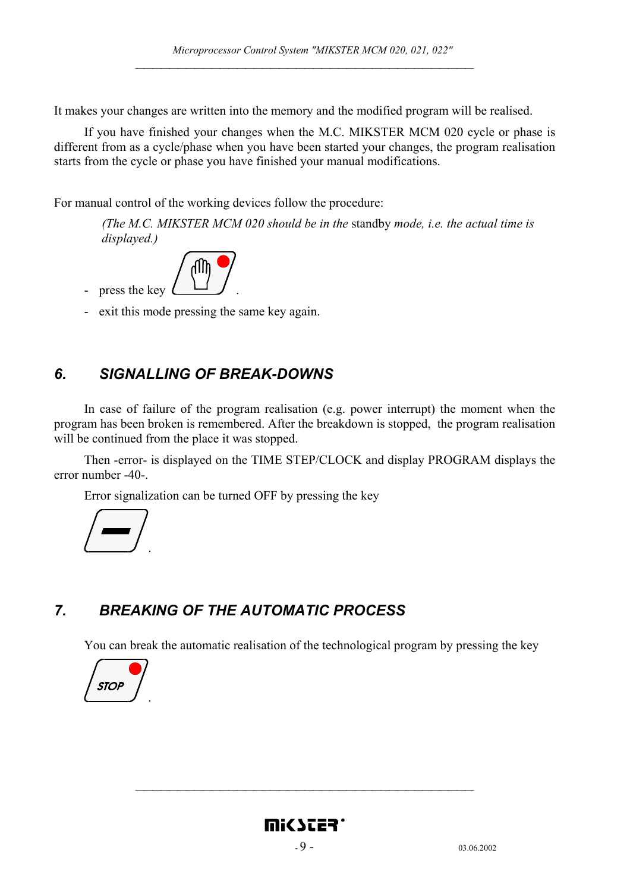It makes your changes are written into the memory and the modified program will be realised.

If you have finished your changes when the M.C. MIKSTER MCM 020 cycle or phase is different from as a cycle/phase when you have been started your changes, the program realisation starts from the cycle or phase you have finished your manual modifications.

For manual control of the working devices follow the procedure:

*(The M.C. MIKSTER MCM 020 should be in the* standby *mode, i.e. the actual time is displayed.)* 

![](_page_8_Picture_5.jpeg)

- exit this mode pressing the same key again.

#### *6. SIGNALLING OF BREAK-DOWNS*

In case of failure of the program realisation (e.g. power interrupt) the moment when the program has been broken is remembered. After the breakdown is stopped, the program realisation will be continued from the place it was stopped.

Then -error- is displayed on the TIME STEP/CLOCK and display PROGRAM displays the error number -40-.

Error signalization can be turned OFF by pressing the key

![](_page_8_Picture_11.jpeg)

## *7. BREAKING OF THE AUTOMATIC PROCESS*

You can break the automatic realisation of the technological program by pressing the key

![](_page_8_Picture_14.jpeg)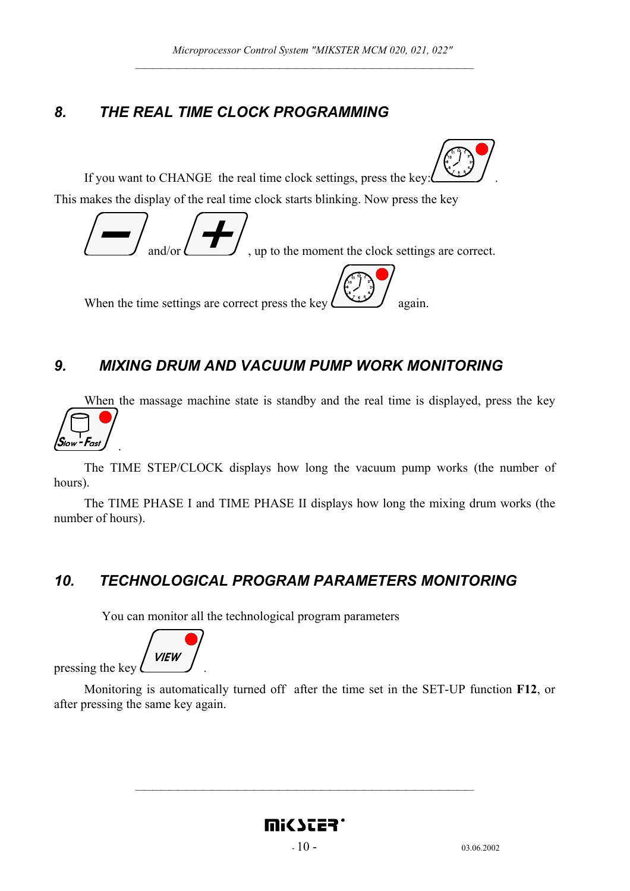# *8. THE REAL TIME CLOCK PROGRAMMING*

If you want to CHANGE the real time clock settings, press the key: . This makes the display of the real time clock starts blinking. Now press the key

![](_page_9_Picture_3.jpeg)

# *9. MIXING DRUM AND VACUUM PUMP WORK MONITORING*

When the massage machine state is standby and the real time is displayed, press the key  $S_{low}$  - Fast .

The TIME STEP/CLOCK displays how long the vacuum pump works (the number of hours).

The TIME PHASE I and TIME PHASE II displays how long the mixing drum works (the number of hours).

# *10. TECHNOLOGICAL PROGRAM PARAMETERS MONITORING*

You can monitor all the technological program parameters

**VIEW** pressing the key *.* 

 Monitoring is automatically turned off after the time set in the SET-UP function **F12**, or after pressing the same key again.